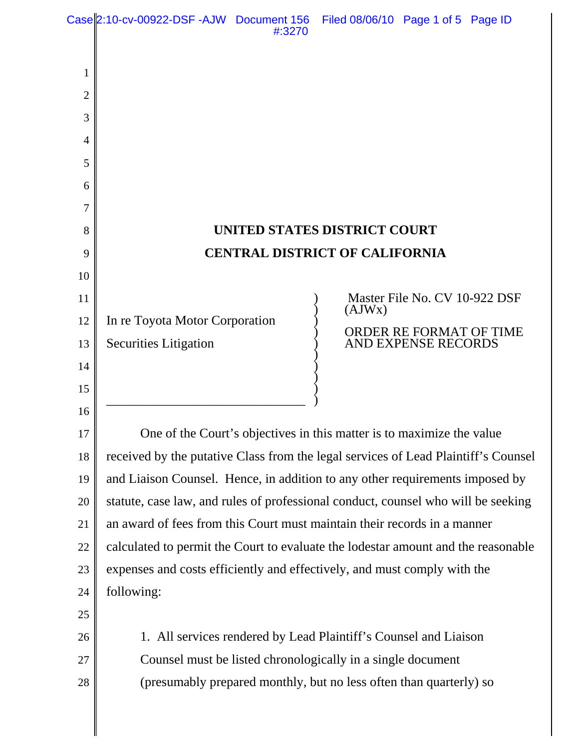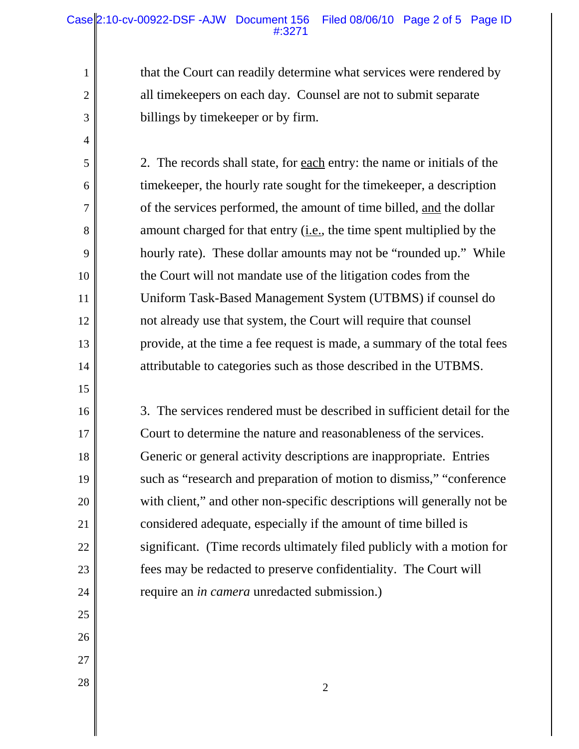that the Court can readily determine what services were rendered by all timekeepers on each day. Counsel are not to submit separate billings by timekeeper or by firm.

2. The records shall state, for each entry: the name or initials of the timekeeper, the hourly rate sought for the timekeeper, a description of the services performed, the amount of time billed, and the dollar amount charged for that entry  $(i.e.,$  the time spent multiplied by the hourly rate). These dollar amounts may not be "rounded up." While the Court will not mandate use of the litigation codes from the Uniform Task-Based Management System (UTBMS) if counsel do not already use that system, the Court will require that counsel provide, at the time a fee request is made, a summary of the total fees attributable to categories such as those described in the UTBMS.

3. The services rendered must be described in sufficient detail for the Court to determine the nature and reasonableness of the services. Generic or general activity descriptions are inappropriate. Entries such as "research and preparation of motion to dismiss," "conference with client," and other non-specific descriptions will generally not be considered adequate, especially if the amount of time billed is significant. (Time records ultimately filed publicly with a motion for fees may be redacted to preserve confidentiality. The Court will require an *in camera* unredacted submission.)

27  $\begin{array}{|c|c|c|c|c|}\n\hline\n28 & 2 \\
\hline\n\end{array}$ 

1

2

3

4

5

6

7

8

9

10

11

12

13

14

15

16

17

18

19

20

21

22

23

24

25

26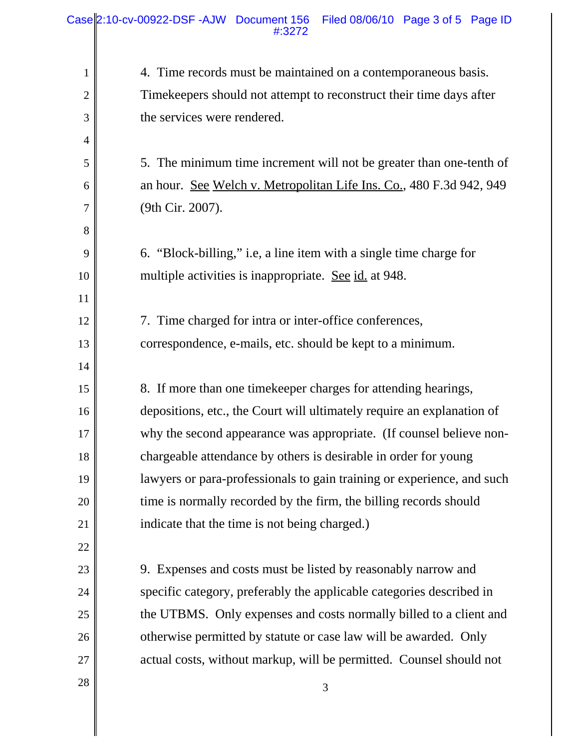| $\mathbf{1}$   | 4. Time records must be maintained on a contemporaneous basis.         |
|----------------|------------------------------------------------------------------------|
| $\overline{2}$ | Timekeepers should not attempt to reconstruct their time days after    |
| 3              | the services were rendered.                                            |
| $\overline{4}$ |                                                                        |
| 5              | 5. The minimum time increment will not be greater than one-tenth of    |
| 6              | an hour. See Welch v. Metropolitan Life Ins. Co., 480 F.3d 942, 949    |
| $\overline{7}$ | (9th Cir. 2007).                                                       |
| 8              |                                                                        |
| 9              | 6. "Block-billing," i.e, a line item with a single time charge for     |
| 10             | multiple activities is inappropriate. See id. at 948.                  |
| 11             |                                                                        |
| 12             | 7. Time charged for intra or inter-office conferences,                 |
| 13             | correspondence, e-mails, etc. should be kept to a minimum.             |
| 14             |                                                                        |
| 15             | 8. If more than one time keeper charges for attending hearings,        |
| 16             | depositions, etc., the Court will ultimately require an explanation of |
| 17             | why the second appearance was appropriate. (If counsel believe non-    |
| 18             | chargeable attendance by others is desirable in order for young        |
| 19             | lawyers or para-professionals to gain training or experience, and such |
| 20             | time is normally recorded by the firm, the billing records should      |
| 21             | indicate that the time is not being charged.)                          |
| 22             |                                                                        |
| 23             | 9. Expenses and costs must be listed by reasonably narrow and          |
| 24             | specific category, preferably the applicable categories described in   |
| 25             | the UTBMS. Only expenses and costs normally billed to a client and     |
| 26             | otherwise permitted by statute or case law will be awarded. Only       |
| 27             | actual costs, without markup, will be permitted. Counsel should not    |
| 28             | 3                                                                      |
|                |                                                                        |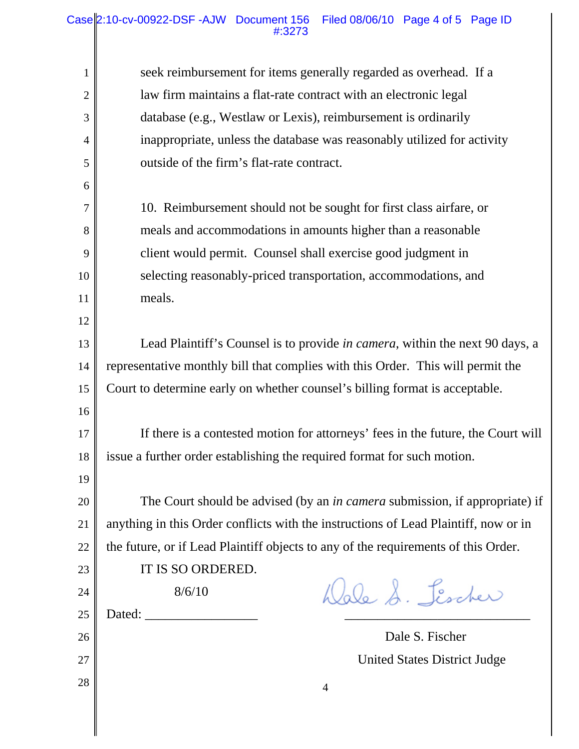| 1              | seek reimbursement for items generally regarded as overhead. If a                    |  |  |  |  |  |  |  |
|----------------|--------------------------------------------------------------------------------------|--|--|--|--|--|--|--|
| $\overline{2}$ | law firm maintains a flat-rate contract with an electronic legal                     |  |  |  |  |  |  |  |
| 3              | database (e.g., Westlaw or Lexis), reimbursement is ordinarily                       |  |  |  |  |  |  |  |
| 4              | inappropriate, unless the database was reasonably utilized for activity              |  |  |  |  |  |  |  |
| 5              | outside of the firm's flat-rate contract.                                            |  |  |  |  |  |  |  |
| 6              |                                                                                      |  |  |  |  |  |  |  |
| 7              | 10. Reimbursement should not be sought for first class airfare, or                   |  |  |  |  |  |  |  |
| 8              | meals and accommodations in amounts higher than a reasonable                         |  |  |  |  |  |  |  |
| 9              | client would permit. Counsel shall exercise good judgment in                         |  |  |  |  |  |  |  |
| 10             | selecting reasonably-priced transportation, accommodations, and                      |  |  |  |  |  |  |  |
| 11             | meals.                                                                               |  |  |  |  |  |  |  |
| 12             |                                                                                      |  |  |  |  |  |  |  |
| 13             | Lead Plaintiff's Counsel is to provide <i>in camera</i> , within the next 90 days, a |  |  |  |  |  |  |  |
| 14             | representative monthly bill that complies with this Order. This will permit the      |  |  |  |  |  |  |  |
| 15             | Court to determine early on whether counsel's billing format is acceptable.          |  |  |  |  |  |  |  |
| 16             |                                                                                      |  |  |  |  |  |  |  |
| 17             | If there is a contested motion for attorneys' fees in the future, the Court will     |  |  |  |  |  |  |  |
| 18             | issue a further order establishing the required format for such motion.              |  |  |  |  |  |  |  |
| 19             |                                                                                      |  |  |  |  |  |  |  |
| 20             | The Court should be advised (by an <i>in camera</i> submission, if appropriate) if   |  |  |  |  |  |  |  |
| 21             | anything in this Order conflicts with the instructions of Lead Plaintiff, now or in  |  |  |  |  |  |  |  |
| 22             | the future, or if Lead Plaintiff objects to any of the requirements of this Order.   |  |  |  |  |  |  |  |
| 23             | IT IS SO ORDERED.                                                                    |  |  |  |  |  |  |  |
| 24             | Wale S. Lischer<br>8/6/10                                                            |  |  |  |  |  |  |  |
| 25             |                                                                                      |  |  |  |  |  |  |  |
| 26             | Dale S. Fischer                                                                      |  |  |  |  |  |  |  |
| 27             | <b>United States District Judge</b>                                                  |  |  |  |  |  |  |  |
| 28             | $\overline{4}$                                                                       |  |  |  |  |  |  |  |
|                |                                                                                      |  |  |  |  |  |  |  |